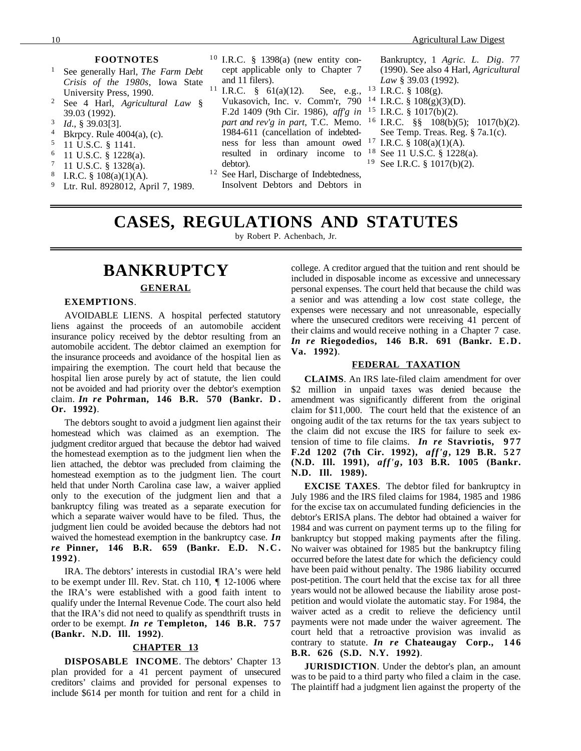#### **FOOTNOTES**

- <sup>1</sup> See generally Harl, *The Farm Debt Crisis of the 1980s*, Iowa State University Press, 1990.
- <sup>2</sup> See 4 Harl, *Agricultural Law* § 39.03 (1992).
- <sup>3</sup> *Id*., § 39.03[3].
- <sup>4</sup> Bkrpcy. Rule  $4004(a)$ , (c).<br>
<sup>5</sup> 11 U S C 8 1141
- <sup>5</sup> 11 U.S.C. § 1141.
- $^{6}$  11 U.S.C. § 1228(a).
- $^{7}$  11 U.S.C. § 1328(a).<br>8 IRC 8 108(a)(1)(A)
- I.R.C.  $§$  108(a)(1)(A).
- <sup>9</sup> Ltr. Rul. 8928012, April 7, 1989.
- $10$  I.R.C. § 1398(a) (new entity concept applicable only to Chapter 7 and 11 filers).
- <sup>11</sup> I.R.C.  $\frac{8}{9}$  61(a)(12). See, e.g., Vukasovich, Inc. v. Comm'r, 790<sup>14</sup> I.R.C. § 108(g)(3)(D). F.2d 1409 (9th Cir. 1986), *aff'g in* 1 5 I.R.C. § 1017(b)(2). *part and rev'g in part*, T.C. Memo. 1984-611 (cancellation of indebtedness for less than amount owed  $17$  I.R.C. §  $108(a)(1)(A)$ . resulted in ordinary income to debtor).
- <sup>12</sup> See Harl, Discharge of Indebtedness, Insolvent Debtors and Debtors in

Bankruptcy, 1 *Agric. L. Dig*. 77 (1990). See also 4 Harl, *Agricultural Law* § 39.03 (1992).

- $13$  I.R.C. § 108(g).
- 
- 
- <sup>16</sup> I.R.C. §§ 108(b)(5); 1017(b)(2). See Temp. Treas. Reg. § 7a.1(c).
- 
- <sup>18</sup> See 11 U.S.C. § 1228(a).
- <sup>19</sup> See I.R.C.  $\frac{8}{9}$  1017(b)(2).

#### **CASES, REGULATIONS AND STATUTES** by Robert P. Achenbach, Jr.

# **BANKRUPTCY GENERAL**

#### **EXEMPTIONS**.

AVOIDABLE LIENS. A hospital perfected statutory liens against the proceeds of an automobile accident insurance policy received by the debtor resulting from an automobile accident. The debtor claimed an exemption for the insurance proceeds and avoidance of the hospital lien as impairing the exemption. The court held that because the hospital lien arose purely by act of statute, the lien could not be avoided and had priority over the debtor's exemption claim. *In re* **Pohrman, 146 B.R. 570 (Bankr. D . Or. 1992)**.

The debtors sought to avoid a judgment lien against their homestead which was claimed as an exemption. The judgment creditor argued that because the debtor had waived the homestead exemption as to the judgment lien when the lien attached, the debtor was precluded from claiming the homestead exemption as to the judgment lien. The court held that under North Carolina case law, a waiver applied only to the execution of the judgment lien and that a bankruptcy filing was treated as a separate execution for which a separate waiver would have to be filed. Thus, the judgment lien could be avoided because the debtors had not waived the homestead exemption in the bankruptcy case. *In re* **Pinner, 146 B.R. 659 (Bankr. E.D. N.C. 1992)**.

IRA. The debtors' interests in custodial IRA's were held to be exempt under Ill. Rev. Stat. ch 110, ¶ 12-1006 where the IRA's were established with a good faith intent to qualify under the Internal Revenue Code. The court also held that the IRA's did not need to qualify as spendthrift trusts in order to be exempt. *In re* **Templeton, 146 B.R. 757 (Bankr. N.D. Ill. 1992)**.

#### **CHAPTER 13**

**DISPOSABLE INCOME**. The debtors' Chapter 13 plan provided for a 41 percent payment of unsecured creditors' claims and provided for personal expenses to include \$614 per month for tuition and rent for a child in college. A creditor argued that the tuition and rent should be included in disposable income as excessive and unnecessary personal expenses. The court held that because the child was a senior and was attending a low cost state college, the expenses were necessary and not unreasonable, especially where the unsecured creditors were receiving 41 percent of their claims and would receive nothing in a Chapter 7 case. *In re* **Riegodedios, 146 B.R. 691 (Bankr. E.D. Va. 1992)**.

#### **FEDERAL TAXATION**

**CLAIMS**. An IRS late-filed claim amendment for over \$2 million in unpaid taxes was denied because the amendment was significantly different from the original claim for \$11,000. The court held that the existence of an ongoing audit of the tax returns for the tax years subject to the claim did not excuse the IRS for failure to seek extension of time to file claims. *In re* **Stavriotis, 977 F.2d 1202 (7th Cir. 1992),** *aff'g***, 129 B.R. 5 2 7 (N.D. Ill. 1991),** *aff'g***, 103 B.R. 1005 (Bankr. N.D. Ill. 1989).**

**EXCISE TAXES**. The debtor filed for bankruptcy in July 1986 and the IRS filed claims for 1984, 1985 and 1986 for the excise tax on accumulated funding deficiencies in the debtor's ERISA plans. The debtor had obtained a waiver for 1984 and was current on payment terms up to the filing for bankruptcy but stopped making payments after the filing. No waiver was obtained for 1985 but the bankruptcy filing occurred before the latest date for which the deficiency could have been paid without penalty. The 1986 liability occurred post-petition. The court held that the excise tax for all three years would not be allowed because the liability arose postpetition and would violate the automatic stay. For 1984, the waiver acted as a credit to relieve the deficiency until payments were not made under the waiver agreement. The court held that a retroactive provision was invalid as contrary to statute. *In re* **Chateaugay Corp., 146 B.R. 626 (S.D. N.Y. 1992)**.

**JURISDICTION**. Under the debtor's plan, an amount was to be paid to a third party who filed a claim in the case. The plaintiff had a judgment lien against the property of the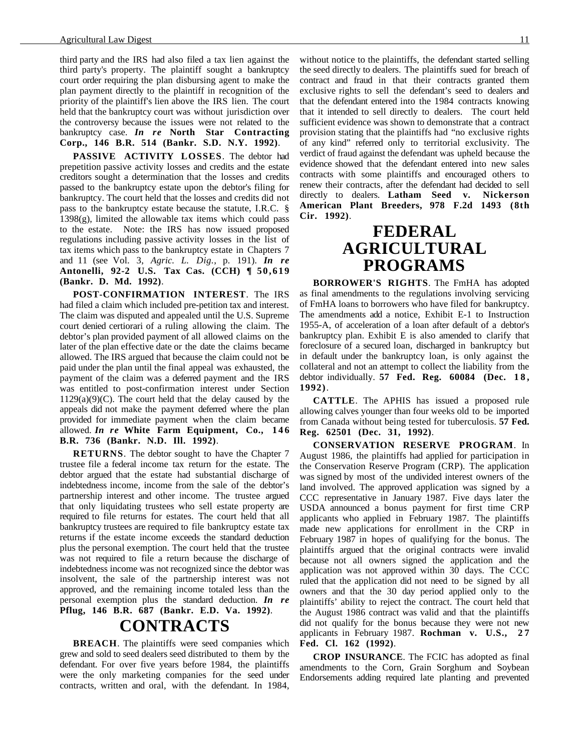third party and the IRS had also filed a tax lien against the third party's property. The plaintiff sought a bankruptcy court order requiring the plan disbursing agent to make the plan payment directly to the plaintiff in recognition of the priority of the plaintiff's lien above the IRS lien. The court held that the bankruptcy court was without jurisdiction over the controversy because the issues were not related to the bankruptcy case. *In re* **North Star Contracting Corp., 146 B.R. 514 (Bankr. S.D. N.Y. 1992)**.

**PASSIVE ACTIVITY LOSSES**. The debtor had prepetition passive activity losses and credits and the estate creditors sought a determination that the losses and credits passed to the bankruptcy estate upon the debtor's filing for bankruptcy. The court held that the losses and credits did not pass to the bankruptcy estate because the statute, I.R.C. § 1398(g), limited the allowable tax items which could pass to the estate. Note: the IRS has now issued proposed regulations including passive activity losses in the list of tax items which pass to the bankruptcy estate in Chapters 7 and 11 (see Vol. 3, *Agric. L. Dig.*, p. 191). *In re* **Antonelli, 92-2 U.S. Tax Cas. (CCH) ¶ 50,619 (Bankr. D. Md. 1992)**.

**POST-CONFIRMATION INTEREST**. The IRS had filed a claim which included pre-petition tax and interest. The claim was disputed and appealed until the U.S. Supreme court denied certiorari of a ruling allowing the claim. The debtor's plan provided payment of all allowed claims on the later of the plan effective date or the date the claims became allowed. The IRS argued that because the claim could not be paid under the plan until the final appeal was exhausted, the payment of the claim was a deferred payment and the IRS was entitled to post-confirmation interest under Section  $1129(a)(9)(C)$ . The court held that the delay caused by the appeals did not make the payment deferred where the plan provided for immediate payment when the claim became allowed. *In re* **White Farm Equipment, Co., 146 B.R. 736 (Bankr. N.D. Ill. 1992)**.

**RETURNS**. The debtor sought to have the Chapter 7 trustee file a federal income tax return for the estate. The debtor argued that the estate had substantial discharge of indebtedness income, income from the sale of the debtor's partnership interest and other income. The trustee argued that only liquidating trustees who sell estate property are required to file returns for estates. The court held that all bankruptcy trustees are required to file bankruptcy estate tax returns if the estate income exceeds the standard deduction plus the personal exemption. The court held that the trustee was not required to file a return because the discharge of indebtedness income was not recognized since the debtor was insolvent, the sale of the partnership interest was not approved, and the remaining income totaled less than the personal exemption plus the standard deduction. *In re* **Pflug, 146 B.R. 687 (Bankr. E.D. Va. 1992)**.

### **CONTRACTS**

**BREACH**. The plaintiffs were seed companies which grew and sold to seed dealers seed distributed to them by the defendant. For over five years before 1984, the plaintiffs were the only marketing companies for the seed under contracts, written and oral, with the defendant. In 1984, without notice to the plaintiffs, the defendant started selling the seed directly to dealers. The plaintiffs sued for breach of contract and fraud in that their contracts granted them exclusive rights to sell the defendant's seed to dealers and that the defendant entered into the 1984 contracts knowing that it intended to sell directly to dealers. The court held sufficient evidence was shown to demonstrate that a contract provision stating that the plaintiffs had "no exclusive rights of any kind" referred only to territorial exclusivity. The verdict of fraud against the defendant was upheld because the evidence showed that the defendant entered into new sales contracts with some plaintiffs and encouraged others to renew their contracts, after the defendant had decided to sell directly to dealers. **Latham Seed v. Nickerson American Plant Breeders, 978 F.2d 1493 (8th Cir. 1992)**.

### **FEDERAL AGRICULTURAL PROGRAMS**

**BORROWER'S RIGHTS**. The FmHA has adopted as final amendments to the regulations involving servicing of FmHA loans to borrowers who have filed for bankruptcy. The amendments add a notice, Exhibit E-1 to Instruction 1955-A, of acceleration of a loan after default of a debtor's bankruptcy plan. Exhibit E is also amended to clarify that foreclosure of a secured loan, discharged in bankruptcy but in default under the bankruptcy loan, is only against the collateral and not an attempt to collect the liability from the debtor individually. **57 Fed. Reg. 60084 (Dec. 1 8 , 1992)**.

**CATTLE**. The APHIS has issued a proposed rule allowing calves younger than four weeks old to be imported from Canada without being tested for tuberculosis. **57 Fed. Reg. 62501 (Dec. 31, 1992)**.

**CONSERVATION RESERVE PROGRAM**. In August 1986, the plaintiffs had applied for participation in the Conservation Reserve Program (CRP). The application was signed by most of the undivided interest owners of the land involved. The approved application was signed by a CCC representative in January 1987. Five days later the USDA announced a bonus payment for first time CRP applicants who applied in February 1987. The plaintiffs made new applications for enrollment in the CRP in February 1987 in hopes of qualifying for the bonus. The plaintiffs argued that the original contracts were invalid because not all owners signed the application and the application was not approved within 30 days. The CCC ruled that the application did not need to be signed by all owners and that the 30 day period applied only to the plaintiffs' ability to reject the contract. The court held that the August 1986 contract was valid and that the plaintiffs did not qualify for the bonus because they were not new applicants in February 1987. **Rochman v. U.S., 2 7 Fed. Cl. 162 (1992)**.

**CROP INSURANCE**. The FCIC has adopted as final amendments to the Corn, Grain Sorghum and Soybean Endorsements adding required late planting and prevented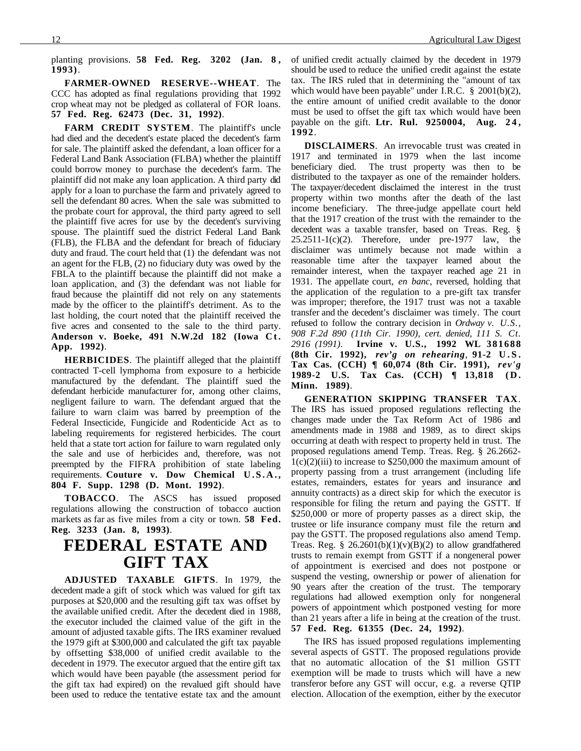planting provisions. **58 Fed. Reg. 3202 (Jan. 8 , 1993)**.

**FARMER-OWNED RESERVE--WHEAT**. The CCC has adopted as final regulations providing that 1992 crop wheat may not be pledged as collateral of FOR loans. **57 Fed. Reg. 62473 (Dec. 31, 1992)**.

**FARM CREDIT SYSTEM**. The plaintiff's uncle had died and the decedent's estate placed the decedent's farm for sale. The plaintiff asked the defendant, a loan officer for a Federal Land Bank Association (FLBA) whether the plaintiff could borrow money to purchase the decedent's farm. The plaintiff did not make any loan application. A third party did apply for a loan to purchase the farm and privately agreed to sell the defendant 80 acres. When the sale was submitted to the probate court for approval, the third party agreed to sell the plaintiff five acres for use by the decedent's surviving spouse. The plaintiff sued the district Federal Land Bank (FLB), the FLBA and the defendant for breach of fiduciary duty and fraud. The court held that (1) the defendant was not an agent for the FLB, (2) no fiduciary duty was owed by the FBLA to the plaintiff because the plaintiff did not make a loan application, and (3) the defendant was not liable for fraud because the plaintiff did not rely on any statements made by the officer to the plaintiff's detriment. As to the last holding, the court noted that the plaintiff received the five acres and consented to the sale to the third party. **Anderson v. Boeke, 491 N.W.2d 182 (Iowa Ct. App. 1992)**.

**HERBICIDES**. The plaintiff alleged that the plaintiff contracted T-cell lymphoma from exposure to a herbicide manufactured by the defendant. The plaintiff sued the defendant herbicide manufacturer for, among other claims, negligent failure to warn. The defendant argued that the failure to warn claim was barred by preemption of the Federal Insecticide, Fungicide and Rodenticide Act as to labeling requirements for registered herbicides. The court held that a state tort action for failure to warn regulated only the sale and use of herbicides and, therefore, was not preempted by the FIFRA prohibition of state labeling requirements. **Couture v. Dow Chemical U.S.A., 804 F. Supp. 1298 (D. Mont. 1992)**.

**TOBACCO**. The ASCS has issued proposed regulations allowing the construction of tobacco auction markets as far as five miles from a city or town. **58 Fed. Reg. 3233 (Jan. 8, 1993)**.

### **FEDERAL ESTATE AND GIFT TAX**

**ADJUSTED TAXABLE GIFTS**. In 1979, the decedent made a gift of stock which was valued for gift tax purposes at \$20,000 and the resulting gift tax was offset by the available unified credit. After the decedent died in 1988, the executor included the claimed value of the gift in the amount of adjusted taxable gifts. The IRS examiner revalued the 1979 gift at \$300,000 and calculated the gift tax payable by offsetting \$38,000 of unified credit available to the decedent in 1979. The executor argued that the entire gift tax which would have been payable (the assessment period for the gift tax had expired) on the revalued gift should have been used to reduce the tentative estate tax and the amount of unified credit actually claimed by the decedent in 1979 should be used to reduce the unified credit against the estate tax. The IRS ruled that in determining the "amount of tax which would have been payable" under I.R.C. § 2001(b)(2), the entire amount of unified credit available to the donor must be used to offset the gift tax which would have been payable on the gift. **Ltr. Rul. 9250004, Aug. 2 4 , 1992**.

**DISCLAIMERS**. An irrevocable trust was created in 1917 and terminated in 1979 when the last income beneficiary died. The trust property was then to be distributed to the taxpayer as one of the remainder holders. The taxpayer/decedent disclaimed the interest in the trust property within two months after the death of the last income beneficiary. The three-judge appellate court held that the 1917 creation of the trust with the remainder to the decedent was a taxable transfer, based on Treas. Reg. §  $25.2511-1(c)(2)$ . Therefore, under pre-1977 law, the disclaimer was untimely because not made within a reasonable time after the taxpayer learned about the remainder interest, when the taxpayer reached age 21 in 1931. The appellate court, *en banc*, reversed, holding that the application of the regulation to a pre-gift tax transfer was improper; therefore, the 1917 trust was not a taxable transfer and the decedent's disclaimer was timely. The court refused to follow the contrary decision in *Ordway v. U.S., 908 F.2d 890 (11th Cir. 1990), cert. denied, 111 S. Ct. 2916 (1991)*. **Irvine v. U.S., 1992 WL 381688 (8th Cir. 1992),** *rev'g on rehearing*, **91-2 U.S. Tax Cas. (CCH) ¶ 60,074 (8th Cir. 1991),** *rev'g* **1989-2 U.S. Tax Cas. (CCH) ¶ 13,818 (D. Minn. 1989)**.

**GENERATION SKIPPING TRANSFER TAX**. The IRS has issued proposed regulations reflecting the changes made under the Tax Reform Act of 1986 and amendments made in 1988 and 1989, as to direct skips occurring at death with respect to property held in trust. The proposed regulations amend Temp. Treas. Reg. § 26.2662-  $1(c)(2)(iii)$  to increase to \$250,000 the maximum amount of property passing from a trust arrangement (including life estates, remainders, estates for years and insurance and annuity contracts) as a direct skip for which the executor is responsible for filing the return and paying the GSTT. If \$250,000 or more of property passes as a direct skip, the trustee or life insurance company must file the return and pay the GSTT. The proposed regulations also amend Temp. Treas. Reg. §  $26.2601(b)(1)(v)(B)(2)$  to allow grandfathered trusts to remain exempt from GSTT if a nongeneral power of appointment is exercised and does not postpone or suspend the vesting, ownership or power of alienation for 90 years after the creation of the trust. The temporary regulations had allowed exemption only for nongeneral powers of appointment which postponed vesting for more than 21 years after a life in being at the creation of the trust. **57 Fed. Reg. 61355 (Dec. 24, 1992)**.

The IRS has issued proposed regulations implementing several aspects of GSTT. The proposed regulations provide that no automatic allocation of the \$1 million GSTT exemption will be made to trusts which will have a new transferor before any GST will occur, e.g. a reverse QTIP election. Allocation of the exemption, either by the executor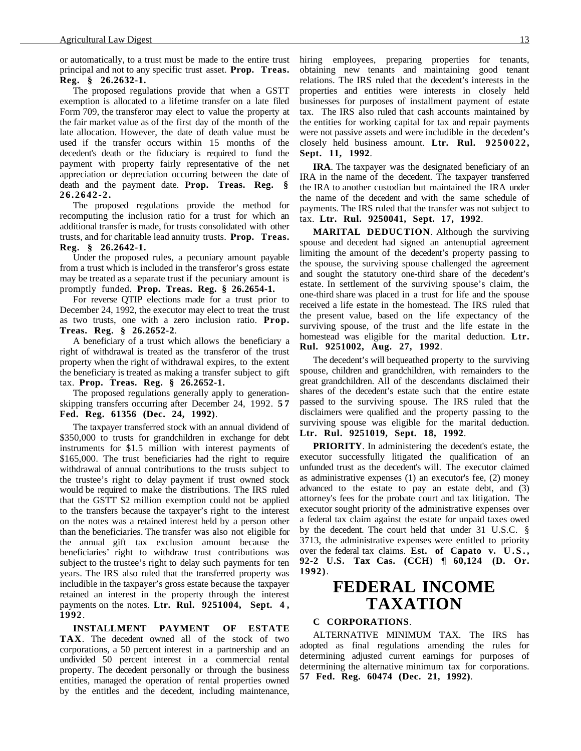or automatically, to a trust must be made to the entire trust principal and not to any specific trust asset. **Prop. Treas. Reg. § 26.2632-1.**

The proposed regulations provide that when a GSTT exemption is allocated to a lifetime transfer on a late filed Form 709, the transferor may elect to value the property at the fair market value as of the first day of the month of the late allocation. However, the date of death value must be used if the transfer occurs within 15 months of the decedent's death or the fiduciary is required to fund the payment with property fairly representative of the net appreciation or depreciation occurring between the date of death and the payment date. **Prop. Treas. Reg. § 26.2642-2.**

The proposed regulations provide the method for recomputing the inclusion ratio for a trust for which an additional transfer is made, for trusts consolidated with other trusts, and for charitable lead annuity trusts. **Prop. Treas. Reg. § 26.2642-1.**

Under the proposed rules, a pecuniary amount payable from a trust which is included in the transferor's gross estate may be treated as a separate trust if the pecuniary amount is promptly funded. **Prop. Treas. Reg. § 26.2654-1.**

For reverse QTIP elections made for a trust prior to December 24, 1992, the executor may elect to treat the trust as two trusts, one with a zero inclusion ratio. **Prop. Treas. Reg. § 26.2652-2**.

A beneficiary of a trust which allows the beneficiary a right of withdrawal is treated as the transferor of the trust property when the right of withdrawal expires, to the extent the beneficiary is treated as making a transfer subject to gift tax. **Prop. Treas. Reg. § 26.2652-1.**

The proposed regulations generally apply to generationskipping transfers occurring after December 24, 1992. **57 Fed. Reg. 61356 (Dec. 24, 1992)**.

The taxpayer transferred stock with an annual dividend of \$350,000 to trusts for grandchildren in exchange for debt instruments for \$1.5 million with interest payments of \$165,000. The trust beneficiaries had the right to require withdrawal of annual contributions to the trusts subject to the trustee's right to delay payment if trust owned stock would be required to make the distributions. The IRS ruled that the GSTT \$2 million exemption could not be applied to the transfers because the taxpayer's right to the interest on the notes was a retained interest held by a person other than the beneficiaries. The transfer was also not eligible for the annual gift tax exclusion amount because the beneficiaries' right to withdraw trust contributions was subject to the trustee's right to delay such payments for ten years. The IRS also ruled that the transferred property was includible in the taxpayer's gross estate because the taxpayer retained an interest in the property through the interest payments on the notes. **Ltr. Rul. 9251004, Sept. 4 , 1992**.

**INSTALLMENT PAYMENT OF ESTATE TAX**. The decedent owned all of the stock of two corporations, a 50 percent interest in a partnership and an undivided 50 percent interest in a commercial rental property. The decedent personally or through the business entities, managed the operation of rental properties owned by the entitles and the decedent, including maintenance, hiring employees, preparing properties for tenants, obtaining new tenants and maintaining good tenant relations. The IRS ruled that the decedent's interests in the properties and entities were interests in closely held businesses for purposes of installment payment of estate tax. The IRS also ruled that cash accounts maintained by the entities for working capital for tax and repair payments were not passive assets and were includible in the decedent's closely held business amount. **Ltr. Rul. 9250022, Sept. 11, 1992**.

**IRA**. The taxpayer was the designated beneficiary of an IRA in the name of the decedent. The taxpayer transferred the IRA to another custodian but maintained the IRA under the name of the decedent and with the same schedule of payments. The IRS ruled that the transfer was not subject to tax. **Ltr. Rul. 9250041, Sept. 17, 1992**.

**MARITAL DEDUCTION**. Although the surviving spouse and decedent had signed an antenuptial agreement limiting the amount of the decedent's property passing to the spouse, the surviving spouse challenged the agreement and sought the statutory one-third share of the decedent's estate. In settlement of the surviving spouse's claim, the one-third share was placed in a trust for life and the spouse received a life estate in the homestead. The IRS ruled that the present value, based on the life expectancy of the surviving spouse, of the trust and the life estate in the homestead was eligible for the marital deduction. **Ltr. Rul. 9251002, Aug. 27, 1992**.

The decedent's will bequeathed property to the surviving spouse, children and grandchildren, with remainders to the great grandchildren. All of the descendants disclaimed their shares of the decedent's estate such that the entire estate passed to the surviving spouse. The IRS ruled that the disclaimers were qualified and the property passing to the surviving spouse was eligible for the marital deduction. **Ltr. Rul. 9251019, Sept. 18, 1992**.

**PRIORITY**. In administering the decedent's estate, the executor successfully litigated the qualification of an unfunded trust as the decedent's will. The executor claimed as administrative expenses (1) an executor's fee, (2) money advanced to the estate to pay an estate debt, and (3) attorney's fees for the probate court and tax litigation. The executor sought priority of the administrative expenses over a federal tax claim against the estate for unpaid taxes owed by the decedent. The court held that under 31 U.S.C. § 3713, the administrative expenses were entitled to priority over the federal tax claims. **Est. of Capato v. U.S., 92-2 U.S. Tax Cas. (CCH) ¶ 60,124 (D. Or. 1992)**.

### **FEDERAL INCOME TAXATION**

#### **C CORPORATIONS**.

ALTERNATIVE MINIMUM TAX. The IRS has adopted as final regulations amending the rules for determining adjusted current earnings for purposes of determining the alternative minimum tax for corporations. **57 Fed. Reg. 60474 (Dec. 21, 1992)**.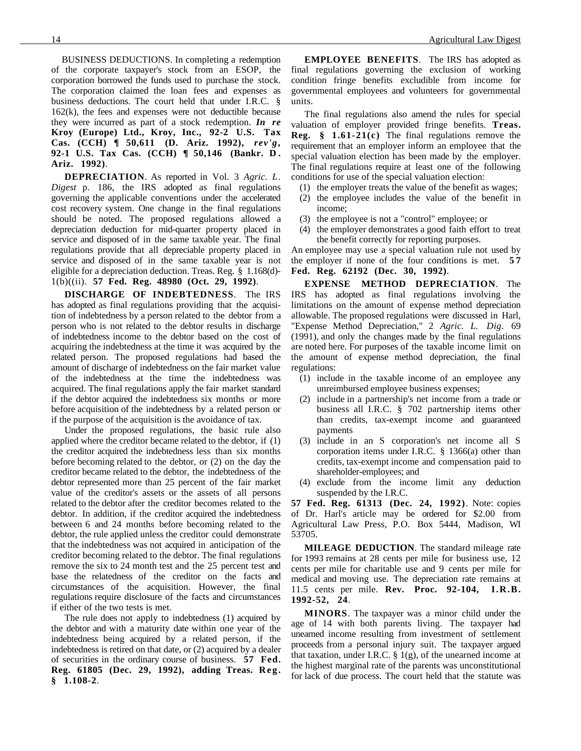BUSINESS DEDUCTIONS. In completing a redemption of the corporate taxpayer's stock from an ESOP, the corporation borrowed the funds used to purchase the stock. The corporation claimed the loan fees and expenses as business deductions. The court held that under I.R.C. § 162(k), the fees and expenses were not deductible because they were incurred as part of a stock redemption. *In re* **Kroy (Europe) Ltd., Kroy, Inc., 92-2 U.S. Tax Cas. (CCH) ¶ 50,611 (D. Ariz. 1992),** *rev'g***, 92-1 U.S. Tax Cas. (CCH) ¶ 50,146 (Bankr. D . Ariz. 1992)**.

**DEPRECIATION**. As reported in Vol. 3 *Agric. L. Digest* p. 186, the IRS adopted as final regulations governing the applicable conventions under the accelerated cost recovery system. One change in the final regulations should be noted. The proposed regulations allowed a depreciation deduction for mid-quarter property placed in service and disposed of in the same taxable year. The final regulations provide that all depreciable property placed in service and disposed of in the same taxable year is not eligible for a depreciation deduction. Treas. Reg. § 1.168(d)- 1(b)((ii). **57 Fed. Reg. 48980 (Oct. 29, 1992)**.

**DISCHARGE OF INDEBTEDNESS**. The IRS has adopted as final regulations providing that the acquisition of indebtedness by a person related to the debtor from a person who is not related to the debtor results in discharge of indebtedness income to the debtor based on the cost of acquiring the indebtedness at the time it was acquired by the related person. The proposed regulations had based the amount of discharge of indebtedness on the fair market value of the indebtedness at the time the indebtedness was acquired. The final regulations apply the fair market standard if the debtor acquired the indebtedness six months or more before acquisition of the indebtedness by a related person or if the purpose of the acquisition is the avoidance of tax.

Under the proposed regulations, the basic rule also applied where the creditor became related to the debtor, if (1) the creditor acquired the indebtedness less than six months before becoming related to the debtor, or (2) on the day the creditor became related to the debtor, the indebtedness of the debtor represented more than 25 percent of the fair market value of the creditor's assets or the assets of all persons related to the debtor after the creditor becomes related to the debtor. In addition, if the creditor acquired the indebtedness between 6 and 24 months before becoming related to the debtor, the rule applied unless the creditor could demonstrate that the indebtedness was not acquired in anticipation of the creditor becoming related to the debtor. The final regulations remove the six to 24 month test and the 25 percent test and base the relatedness of the creditor on the facts and circumstances of the acquisition. However, the final regulations require disclosure of the facts and circumstances if either of the two tests is met.

The rule does not apply to indebtedness (1) acquired by the debtor and with a maturity date within one year of the indebtedness being acquired by a related person, if the indebtedness is retired on that date, or (2) acquired by a dealer of securities in the ordinary course of business. **57 Fed. Reg. 61805 (Dec. 29, 1992), adding Treas. Reg. § 1.108-2**.

**EMPLOYEE BENEFITS**. The IRS has adopted as final regulations governing the exclusion of working condition fringe benefits excludible from income for governmental employees and volunteers for governmental units.

The final regulations also amend the rules for special valuation of employer provided fringe benefits. **Treas. Reg. § 1.61-21(c)** The final regulations remove the requirement that an employer inform an employee that the special valuation election has been made by the employer. The final regulations require at least one of the following conditions for use of the special valuation election:

- (1) the employer treats the value of the benefit as wages;
- (2) the employee includes the value of the benefit in income;
- (3) the employee is not a "control" employee; or
- (4) the employer demonstrates a good faith effort to treat the benefit correctly for reporting purposes.

An employee may use a special valuation rule not used by the employer if none of the four conditions is met. **5 7 Fed. Reg. 62192 (Dec. 30, 1992)**.

**EXPENSE METHOD DEPRECIATION**. The IRS has adopted as final regulations involving the limitations on the amount of expense method depreciation allowable. The proposed regulations were discussed in Harl, "Expense Method Depreciation," 2 *Agric. L. Dig*. 69 (1991), and only the changes made by the final regulations are noted here. For purposes of the taxable income limit on the amount of expense method depreciation, the final regulations:

- (1) include in the taxable income of an employee any unreimbursed employee business expenses;
- (2) include in a partnership's net income from a trade or business all I.R.C. § 702 partnership items other than credits, tax-exempt income and guaranteed payments
- (3) include in an S corporation's net income all S corporation items under I.R.C. § 1366(a) other than credits, tax-exempt income and compensation paid to shareholder-employees; and
- (4) exclude from the income limit any deduction suspended by the I.R.C.

**57 Fed. Reg. 61313 (Dec. 24, 1992)**. Note: copies of Dr. Harl's article may be ordered for \$2.00 from Agricultural Law Press, P.O. Box 5444, Madison, WI 53705.

**MILEAGE DEDUCTION**. The standard mileage rate for 1993 remains at 28 cents per mile for business use, 12 cents per mile for charitable use and 9 cents per mile for medical and moving use. The depreciation rate remains at 11.5 cents per mile. **Rev. Proc. 92-104, I.R.B. 1992-52, 24**.

**MINORS**. The taxpayer was a minor child under the age of 14 with both parents living. The taxpayer had unearned income resulting from investment of settlement proceeds from a personal injury suit. The taxpayer argued that taxation, under I.R.C.  $\S$  1(g), of the unearned income at the highest marginal rate of the parents was unconstitutional for lack of due process. The court held that the statute was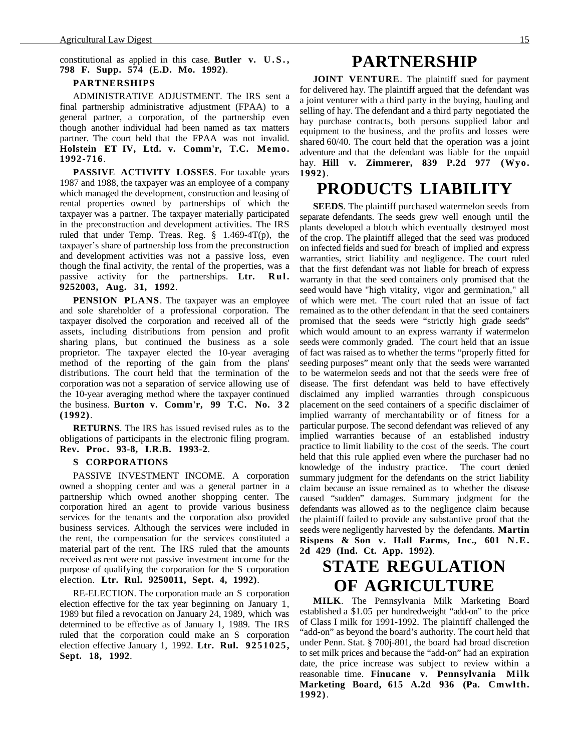#### constitutional as applied in this case. **Butler v. U.S., 798 F. Supp. 574 (E.D. Mo. 1992)**.

#### **PARTNERSHIPS**

ADMINISTRATIVE ADJUSTMENT. The IRS sent a final partnership administrative adjustment (FPAA) to a general partner, a corporation, of the partnership even though another individual had been named as tax matters partner. The court held that the FPAA was not invalid. **Holstein ET IV, Ltd. v. Comm'r, T.C. Memo. 1992-716**.

**PASSIVE ACTIVITY LOSSES**. For taxable years 1987 and 1988, the taxpayer was an employee of a company which managed the development, construction and leasing of rental properties owned by partnerships of which the taxpayer was a partner. The taxpayer materially participated in the preconstruction and development activities. The IRS ruled that under Temp. Treas. Reg. § 1.469-4T(p), the taxpayer's share of partnership loss from the preconstruction and development activities was not a passive loss, even though the final activity, the rental of the properties, was a passive activity for the partnerships. **Ltr. Rul. 9252003, Aug. 31, 1992**.

**PENSION PLANS**. The taxpayer was an employee and sole shareholder of a professional corporation. The taxpayer disolved the corporation and received all of the assets, including distributions from pension and profit sharing plans, but continued the business as a sole proprietor. The taxpayer elected the 10-year averaging method of the reporting of the gain from the plans' distributions. The court held that the termination of the corporation was not a separation of service allowing use of the 10-year averaging method where the taxpayer continued the business. **Burton v. Comm'r, 99 T.C. No. 3 2 (1992)**.

**RETURNS**. The IRS has issued revised rules as to the obligations of participants in the electronic filing program. **Rev. Proc. 93-8, I.R.B. 1993-2**.

#### **S CORPORATIONS**

PASSIVE INVESTMENT INCOME. A corporation owned a shopping center and was a general partner in a partnership which owned another shopping center. The corporation hired an agent to provide various business services for the tenants and the corporation also provided business services. Although the services were included in the rent, the compensation for the services constituted a material part of the rent. The IRS ruled that the amounts received as rent were not passive investment income for the purpose of qualifying the corporation for the S corporation election. **Ltr. Rul. 9250011, Sept. 4, 1992)**.

RE-ELECTION. The corporation made an S corporation election effective for the tax year beginning on January 1, 1989 but filed a revocation on January 24, 1989, which was determined to be effective as of January 1, 1989. The IRS ruled that the corporation could make an S corporation election effective January 1, 1992. **Ltr. Rul. 9251025, Sept. 18, 1992**.

### **PARTNERSHIP**

**JOINT VENTURE**. The plaintiff sued for payment for delivered hay. The plaintiff argued that the defendant was a joint venturer with a third party in the buying, hauling and selling of hay. The defendant and a third party negotiated the hay purchase contracts, both persons supplied labor and equipment to the business, and the profits and losses were shared 60/40. The court held that the operation was a joint adventure and that the defendant was liable for the unpaid hay. **Hill v. Zimmerer, 839 P.2d 977 (Wyo. 1992)**.

### **PRODUCTS LIABILITY**

**SEEDS**. The plaintiff purchased watermelon seeds from separate defendants. The seeds grew well enough until the plants developed a blotch which eventually destroyed most of the crop. The plaintiff alleged that the seed was produced on infected fields and sued for breach of implied and express warranties, strict liability and negligence. The court ruled that the first defendant was not liable for breach of express warranty in that the seed containers only promised that the seed would have "high vitality, vigor and germination," all of which were met. The court ruled that an issue of fact remained as to the other defendant in that the seed containers promised that the seeds were "strictly high grade seeds" which would amount to an express warranty if watermelon seeds were commonly graded. The court held that an issue of fact was raised as to whether the terms "properly fitted for seeding purposes" meant only that the seeds were warranted to be watermelon seeds and not that the seeds were free of disease. The first defendant was held to have effectively disclaimed any implied warranties through conspicuous placement on the seed containers of a specific disclaimer of implied warranty of merchantability or of fitness for a particular purpose. The second defendant was relieved of any implied warranties because of an established industry practice to limit liability to the cost of the seeds. The court held that this rule applied even where the purchaser had no knowledge of the industry practice. The court denied summary judgment for the defendants on the strict liability claim because an issue remained as to whether the disease caused "sudden" damages. Summary judgment for the defendants was allowed as to the negligence claim because the plaintiff failed to provide any substantive proof that the seeds were negligently harvested by the defendants. **Martin Rispens & Son v. Hall Farms, Inc., 601 N.E. 2d 429 (Ind. Ct. App. 1992)**.

## **STATE REGULATION OF AGRICULTURE**

**MILK**. The Pennsylvania Milk Marketing Board established a \$1.05 per hundredweight "add-on" to the price of Class I milk for 1991-1992. The plaintiff challenged the "add-on" as beyond the board's authority. The court held that under Penn. Stat. § 700j-801, the board had broad discretion to set milk prices and because the "add-on" had an expiration date, the price increase was subject to review within a reasonable time. **Finucane v. Pennsylvania Milk Marketing Board, 615 A.2d 936 (Pa. Cmwlth. 1992)**.